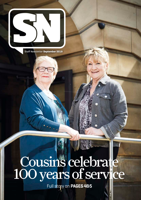

Staff Newsletter **September 2019**

# Cousins celebrate 100 years of service

Full story on **PAGES 4&5**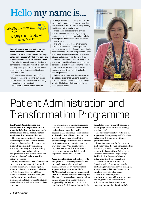# Hello my name is...



**Nurse director Dr Margaret McGuire wants to see more staff embrace the 'Hello my name is…' ethos and wear the branded bright yellow name badges with their first name and surname easily visible. Here she tells us why.**

"Introductions are all about making human connections. Introducing yourself is a common courtesy and all patients, carers and visitors should know who they are speaking to and what their role is

I firmly believe the badges are the first rung on the ladder to providing truly personcentred, compassionate care and improving communications with patients.

As a Board we signed up to it while the

campaign was still in its infancy and now 'Hello my name is…' has been adopted by more than 100 hospitals in the UK and it is being used by healthcare staff around the world.

These name badges are for everyone and are a wonderful way to begin caring relationships and can instantly play a role in building trust and respect, often in difficult circumstances.

The whole idea is focused on reminding staff to introduce themselves to patients properly. A warm and confident introduction is the first step to providing compassionate care and can be a big step in helping patients feel at ease and relaxed while they're with us.

We have brilliant staff who are doing more than ever to provide safe and person-centred care and this is about harnessing their energy.

As well as the yellow badges staff are required to wear the official ID badge for security purposes.

Being a patient can be a disorientating and distressing experience. Let's make sure we start with an introduction and follow through with the kind of care that we would like our loved ones to receive."



# Patient Administration and Transformation Programme

**The Patient Administration and Transformation Programme (PAT) was established to take forward work to transform patient administration services within the acute division.** 

The programme is driven by the desire to develop patient and clinician-focused administration services which operate as effectively and efficiently as possible, ensuring consistency of practice, making best use of modern technologies and recognising the valuable contribution our administration staff make to a positive patient experience.

Through the establishment of a structured career pathway and access to improved training, our aim was to develop patient administration as a recognised profession for NHS Greater Glasgow and Clyde administration staff. eHealth colleagues have been working closely with key stakeholders and staff partners to establish a revised model which will deliver on these key aims.

As an initial step, a single management structure has been implemented for ward clerks, aligned under the eHealth department. As part of our commitment to staff development, this saw the creation of ward clerk supervisor roles offering promotional opportunities to staff to support the transition to a new structure and new ways of working. This has allowed us to capitalise on the wealth of experience in existence among our ward clerks while improving opportunities for staff.

#### **Ward clerk transition to health records**

This phase has proved very successful with the appointment of eight ward clerk supervisors who are providing invaluable support during the transition. Linda McAllister, PAT programme manager, said: "The transition of ward clerks went very well. The ward clerk supervisors went through an intense training programme which was supported by Learning and Education to develop them for their new roles, and this is

being followed up via monthly sessions to review progress and any further training requirements."

The new supervisors have welcomed the support and development provided to them in taking up their new roles with very positive feedback.

In addition to support for the new ward clerk supervisors, the ward clerks themselves had the opportunity to attend a bespoke course with Glasgow Clyde College called 'Patient Administration – Supporting a Positive Patient Experience' aimed at enhancing interactions with patients.

The Patient Administration and Transformation Programme group is continuing to work with service managers, staff partners and Human Resources to develop a professional governance structure for all other patient administration roles within acute services, building further on our commitment to enhance service delivery and career opportunities for administration staff.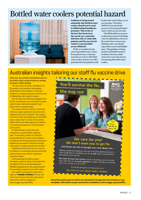### Bottled water coolers potential hazard



**Guidance is being issued nationally that bottled water coolers should not be used in NHSScotland healthcare premises. This is due to the fact that bacteria in the nozzle are a potential infection risk to vulnerable patients and the use of such coolers is uncontrolled across NHSGGC.** 

While we considered only removing bottled water coolers from patient areas, a decision was taken to remove all bottled water coolers as there was still a potential risk that patients could be given the water if they are on our premises. Therefore, NHSGGC has started the process of removing all bottled -<br>water coolers across our sites.

All staff should have access to an alternative source of drinking water in staff kitchens, however, if you don't have access to any drinking water, you should report this to your local facilities team. This guidance is being issued to all health boards in Scotland, who have either removed or are in the process of removing all bottled water coolers.

### Australian insights tailoring our staff flu vaccine drive

**Each year, the northern hemisphere looks to Australia to get a sense of how our coming flu season might develop.**

This year there has been a change in the flu season in the southern hemisphere. Historically flu-like illnesses in Australia tended to increase during the months of July to September with a peak in August.

But this year the initial data suggests that the flu-like illnesses and confirmed flu cases seem to have started and peaked much earlier than in previous years.

The majority (82 per cent) of confirmed influenza cases reported in Australia were influenza A (by 28 July 2019). The majority of the Flu A that was typed was of the H3N2 type, a type known to cause more severe illness among the older age group, leading to increasing pressures in the secondary care system.

Dr Syed Ahmed, clinical director/ consultant in public health medicine, said: "It would be prudent for Scotland to be prepared for a worst case scenario, including maximising protection among the eligible groups against influenza through vaccination, including healthcare workers."

Healthcare workers can act as a source of infection to vulnerable patients and other close contacts even before respiratory symptoms begin.

So the best way for staff to protect themselves, patients, family and friends from the effects of flu is to be vaccinated and NHSGGC preparations for the upcoming staff flu vaccination programme are fully in place.

Our staff flu vaccination mass clinics begin on **Tuesday 1 October** and you can find a list of where and when they will be held on the staff flu website at: www.nhsggc.org.uk/staffflu



Elderly people and patients who are immunosuppressed due to Successive proprie and patients who are immunosuppressed due to<br>their treatment or condition are all 'at risk' from a flu infection<br>becoming more serious becoming more serious.

Bee their flu hero this winter and do everything you can to keep them safe. We can all work together to reduce flu risks for everyone<br>wisit: www.nhsggc.org.uk/staffilu

Try the flu bee game at flubeegame.com Bee their flu hero. Don't infect. Protect

**One of the easiest ways for staff to be vaccinated is through peer immunisation in your workplace. Information on peer vaccination is available at: www.nhsggc.org.uk/staffflu**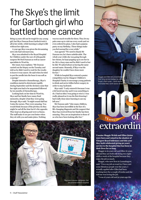## The Skye's the limit for Gartloch girl who battled bone cancer

Being 13 years old can be tough for any young girl, but Skye Duncan from Gartloch took it all in her stride, while learning to adapt to life without her right arm.

A year ago Skye was given the devastating news she had osteosarcoma.

Skye was admitted to the Royal Hospital for Children under the care of orthopaedic surgeon Mr Rod Duncan as well as cancer specialists in Ward 6a.

Her mum Ann explains: "Mr Duncan carried out the biopsy on the Tuesday and told us he didn't need to wait for the results to know it was cancer. He said when he tried to put the needle into the bone it was soft as a sponge."

Despite intensive chemotherapy, Skye's condition started to deteriorate rapidly during September and the decision came that her right arm had to be amputated followed by ten months of chemotherapy.

Looking back on her time in Ward 6a, Skye and her family have many fond memories, despite what they were going through. Skye said: "It might sound daft but I miss the nurses. They were amazing. You would think because of the job they do they might be sad all the time but it's the opposite. They kept us all going and were so funny. The staff make it 100 per cent better when they sit with you and make jokes. Nothing

was too much trouble for them. They let my pals come up to visit me every week and we even ordered in pizza. I also had a pyjama party on my birthday. These things make you feel normal for a wee while."

Ann agreed: "We need to thank Mr Duncan too; he's been unbelievable. The whole year while she was going through her chemo, he kept popping up to see her in 6a. He's a busy man and he didn't need to but he did. We joked about us having the same second name. Honestly, if Skye was his daughter he couldn't have done more for her."

While in hospital Skye entered a poster competition run by Glasgow Children's Hospital Charity to encourage young patients to drink and eat ice lollies before surgery in order to stay hydrated.

Skye said: "I only entered it because I was a bit bored one day and it was something to do. I had no idea I was going to win it. I was really pleased as it was the first drawing I had really done since learning to use my left arm."

Mr Duncan said: "Like many children, Skye has been incredible in the face of a life-changing diagnosis and the support that Skye has received from her family has been amazing. They are an inspiration to those of us who have been looking after her."



Maggie and Ellen are presented their long service badges by John Stuart, chief nurse – north sector and Isobel Neil, north sector direct

## VEARS OF **PEARS** GLASS

**Cousins Maggie Welsh and Ellen Quinn were born and raised in the shadow of Glasgow Royal Infirmary and this year they both celebrated giving 50 years' service to the hospital that has been in their lives for so long.**

Maggie is 69 years old and Ellen 76 years old and they are both still doing two night shifts a week at the hospital because they enjoy the job so much.

Maggie, who now lives in Lesmahagow, said: "I love my job on ward 19. I have met some fabulous people over the years. I actually applied after Ellen had been working here for a couple of weeks and she told me was loving the job.

"I was 18 years old and 50 years ago the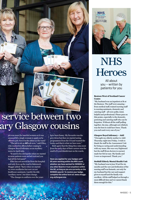## service between two ary Glasgow cousins

job was more for married women so it was unusual for a single woman to apply or be offered a job. Now I'm the oldest on the ward."

"The job is not as difficult now," said Ellen, who worked in offices before coming to Glasgow Royal Infirmary as an auxiliary nurse in April 1969.

"It used to be a lot harder when we started as most patients were on bed rest and you had all the bed pans!"

Ellen has not moved far from the hospital and only lives up the road in Balornock. Maggie added: "Back when we started we were auxiliaries but now we are healthcare assistants. I prefer the title 'auxiliary nurse', but times change.

"The changes in uniform over the years

have been funny. My favourite was the grey dress but then we started seeing programmes from the US and wanted the tunics and that is what we have now."

Both agree that the thing they miss most from the early days of their careers was the smell of Lysol disinfectant on the wards.

**Have you applied for your badges yet? All years working within the NHS count, whether you have worked for NHSGGC or any other Board or trust anywhere within the UK, as long as you are currently on the NHSGGC payroll. To receive your badge, complete the online form at: www.nhsggc. org.uk/longservice** 



# **NHS Heroes**

All about you – written by patients for you

#### **Beatson West of Scotland Cancer Centre**

"My husband was an inpatient at B1 at the Beatson. The staff were amazing – from medical staff, trained nursing staff to nursing assistants, domestic and catering staff – all were polite, kind, helpful and professional. Please pass on this praise, especially to the domestic, portering and catering staff who can be forgotten. Without all the staff pulling together, his stay, although not relished, was the best it could have been. Thank you each and every one of you."

#### **Glasgow Royal Infirmary – A&E**

"I brought my elderly mother to A&E Thursday night into Friday. I wish to thank the staff in the Assessment Unit for being so caring and understanding with my mum. She was very frightened but the staff (from doctors to nurses) made her feel at ease. My family and I were so impressed. Thank you."

#### **Stobhill Elderly Mental Health Unit**

"My husband was in Jura Ward for six months and the care and dedication of the nursing staff was fantastic, not only for my husband but the care and support given to myself and the family was excellent. All the staff helped us through a most difficult time and we cannot thank them enough for this."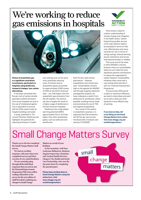## We're working to reduce gas emissions in hospitals





**Choice of anaesthetic gas is a significant contributor to emissions, particularly in hospitals using desflurane, instead of cheaper, low-carbon alternatives.**

It has been estimated that five per cent of carbon dioxide equivalent (CO2e) emissions from acute hospitals are due to the use of inhalational agents. This is equivalent to around half the CO2e used to heat all hospital buildings and water.

A study, published in *The Lancet Planetary Health* journal, highlights the potential for reducing emissions in health

care settings and, at the same time, potentially reducing costs. Emissions due to anaesthetic gases accounted for approximately 2,000 tonnes of CO2e at two North American sites – ten-fold higher than the anaesthetic gas emissions from the UK hospital. The authors say this is largely the result of a higher usage of desflurane in the two American hospitals.

Desflurane has a high global warming potential (GWP), approximately five to 18 times higher than other anaesthetic gases, such as isoflurane and sevoflurane.

Ruth Forrest, lead clinical pharmacist – theatres, anaesthetics and critical care, said: "Sustainability remains high on the agenda for NHSGGC and through ongoing medicines management projects, we have undergone a switch from desflurane to sevoflurane, where possible, avoiding nitrous oxide and promoting the use of TIVA and regional anaesthesia.

"As a result of this switch in anaesthetic practice, it is expected that CO2 emissions will fall five per cent across the Board with a forecast cost saving of £109,000."

There exists a need for a better understanding of climate change and mitigation in the health sector. Carbon footprinting studies are just a first step. Options need to be evaluated in terms of their cost-effectiveness and many could be win-win in terms of energy savings. Shared learning across institutions and across international borders is needed.

This is just one of the areas in which NHSGGC is driving forward a focus on sustainability where we can make the most significant positive contributions to reduce the organisation's carbon footprint. Sustainability initiatives often come with a cost saving which also fits in with our Financial Improvement Programme.

To ensure every NHS pound is spent to maximum efficiency we need to share ideas and want you to tell us what you think would be a more efficient way of working.

**If you have an idea, tell us by filling out the Small Change Matters form online. Visit www.nhsggc.org.uk/ smallchangematters**

# Small Change Matters Survey

Thank you to all who completed the Small Change Matters staff survey.

We had an excellent response, with more than 2000 completed surveys and there was lots of very useful feedback.

We are currently going through all the individual responses that you sent in and the Financial Improvement Programme PMO team will be writing a full article on the survey for the next edition of Staff Newsletter outlining any changes to Small Change

Matters as a result of your feedback.

In the meantime, well done Lesleyann Ballantyne, Business Support Supervisor, Homeless and Asylum Health Services, Glasgow City Health and Social Care Partnership, who won the £50 prize draw for completing the questionnaire.

**Please keep sending ideas to Small Change Matters using the online form. Visit www.nhsggc.org.uk/ smallchangematters**

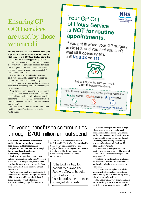### Ensuring GP OOH services are used by those who need it

#### **You may be aware that there has been an ongoing approach to review and improve GP Out of Hours (OOH) services in NHSGGC over the last 18 months.**

As part of the work to support the public to choose from the available options for health care, a communications campaign has been developed that is targeted at the next phase of our planned changes – namely to ensure that access to GP OOH is through NHS 24.

There will be posters and leaflets available, as shown. These will be appearing GP surgeries, dentists, optometrists and community pharmacies and we will also be displaying them in hospital out-patient departments and emergency departments.

Anne Harkness, director acute services – south sector, said: "You should start to see the posters soon and I would ask that all staff encourage their patients to access the GP OOH service only where they cannot wait to see a GP on the next available working day".

This campaign will also run on the NHSGGC and Health and Social Care Partnerships social media pages.

### Your GP Out of Hours Service is NOT for routine appointments.

If you get ill when your GP surgery is closed, and you feel you can't wait till it opens again, call NHS  $24$  on  $111$ 



Let us get you the care you need. Call 111 before you attend.

NHS Greater Glasgow and Clyde, getting you to the Right care Right place Right time

For further information on who to turn to: www.nhsggc.org.uk/kwttt

### Delivering benefits to communities through £700 million annual spend

#### **As a Board, we're set to increase the positive impact we make across our area by helping local companies compete for our business and through buying goods and services as sustainably as possible.**

Each year, we spend more than £700 million with suppliers and a clear Corporate Social Responsibility (CSR) plan has been developed to ensure people across the Board area, and wider, benefit from our annual investment.

We're assisting small and medium sized businesses and third sector organisations to bid for contracts with us and a dedicated group has been set with a focus on sustainability being a significant factor in contracts.

Tom Steele, director of estates and facilities, said: "As Scotland's largest health board we are determined to use our high-profile as a buyer of goods and services to make a positive impact on our society while reducing our impact on the environment.

"The food we buy for patient meals and the food we allow to be sold by retailers in our hospitals also have to meet stringent standards. "

"We have developed a number of ways where we encourage and assist local businesses and third sector organisations to bid for contracts with us. We're improving awareness of these opportunities through advertising, streamlining the bidding process and taking part in high-profile 'Meet the Buyer' events.

"When we're agreeing contracts we positively consider a number of factors and assess how each tender ensures goods are bought ethically.

"The food we buy for patient meals and the food we allow to be sold by retailers in our hospitals also have to meet stringent standards.

"This ensures we are playing a role in improving the health of our patients and people coming into hospitals and spreading education around nutrition.

"As a Board we are very progressive and we are working to ensure that we use our size to benefit as many people as possible."